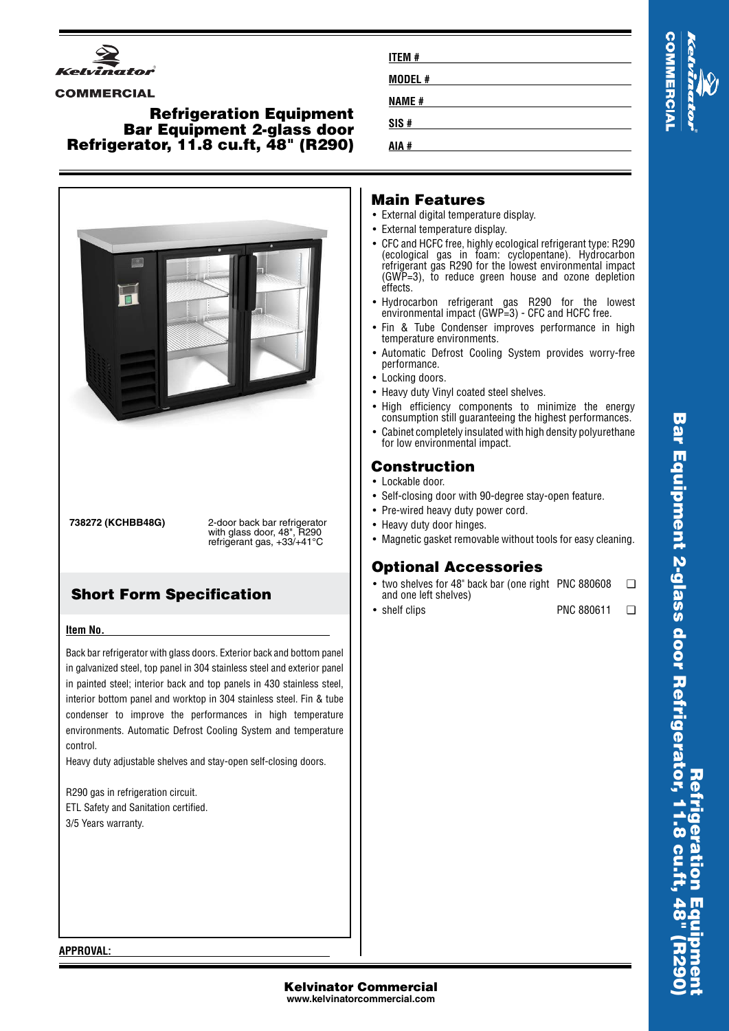

#### **COMMERCIAL**

### **Refrigeration Equipment Bar Equipment 2-glass door Refrigerator, 11.8 cu.ft, 48" (R290)**



**738272 (KCHBB48G)** 2-door back bar refrigerator with glass door, 48", R290 refrigerant gas, +33/+41°C

# **Short Form Specification**

#### **Item No.**

Back bar refrigerator with glass doors. Exterior back and bottom panel in galvanized steel, top panel in 304 stainless steel and exterior panel in painted steel; interior back and top panels in 430 stainless steel, interior bottom panel and worktop in 304 stainless steel. Fin & tube condenser to improve the performances in high temperature environments. Automatic Defrost Cooling System and temperature control.

Heavy duty adjustable shelves and stay-open self-closing doors.

R290 gas in refrigeration circuit. ETL Safety and Sanitation certified. 3/5 Years warranty.

| <b>ITEM#</b> | u<br><b>N</b><br>N |
|--------------|--------------------|
| MODEL #      | ū                  |
| <b>NAME#</b> |                    |
| SIS#         | Ъ                  |
| AIA #        |                    |

## **Main Features**

- External digital temperature display.
- External temperature display.
- CFC and HCFC free, highly ecological refrigerant type: R290 (ecological gas in foam: cyclopentane). Hydrocarbon refrigerant gas R290 for the lowest environmental impact (GWP=3), to reduce green house and ozone depletion effects.
- Hydrocarbon refrigerant gas R290 for the lowest environmental impact (GWP=3) - CFC and HCFC free.
- Fin & Tube Condenser improves performance in high temperature environments.
- Automatic Defrost Cooling System provides worry-free performance.
- Locking doors.
- Heavy duty Vinyl coated steel shelves.
- High efficiency components to minimize the energy consumption still guaranteeing the highest performances.
- • Cabinet completely insulated with high density polyurethane for low environmental impact.

## **Construction**

- Lockable door.
- Self-closing door with 90-degree stay-open feature.
- Pre-wired heavy duty power cord.
- Heavy duty door hinges.
- Magnetic gasket removable without tools for easy cleaning.

## **Optional Accessories**

- two shelves for 48" back bar (one right PNC 880608 ❑ and one left shelves)
- shelf clips PNC 880611 ❑

**APPROVAL:**